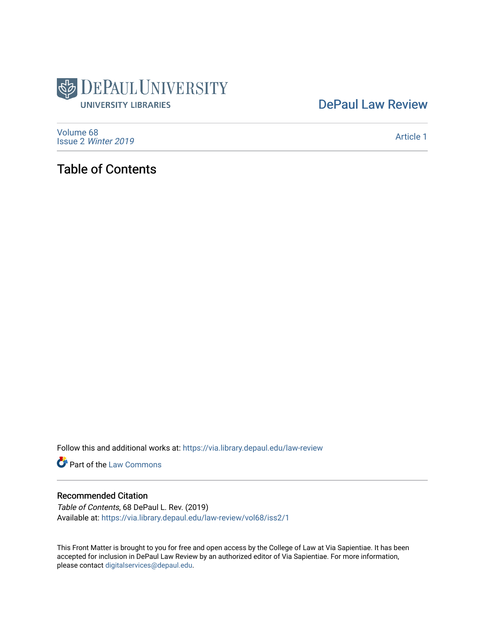

## [DePaul Law Review](https://via.library.depaul.edu/law-review)

[Volume 68](https://via.library.depaul.edu/law-review/vol68) Issue 2 [Winter 2019](https://via.library.depaul.edu/law-review/vol68/iss2) 

[Article 1](https://via.library.depaul.edu/law-review/vol68/iss2/1) 

## Table of Contents

Follow this and additional works at: [https://via.library.depaul.edu/law-review](https://via.library.depaul.edu/law-review?utm_source=via.library.depaul.edu%2Flaw-review%2Fvol68%2Fiss2%2F1&utm_medium=PDF&utm_campaign=PDFCoverPages) 

Part of the [Law Commons](http://network.bepress.com/hgg/discipline/578?utm_source=via.library.depaul.edu%2Flaw-review%2Fvol68%2Fiss2%2F1&utm_medium=PDF&utm_campaign=PDFCoverPages)

### Recommended Citation

Table of Contents, 68 DePaul L. Rev. (2019) Available at: [https://via.library.depaul.edu/law-review/vol68/iss2/1](https://via.library.depaul.edu/law-review/vol68/iss2/1?utm_source=via.library.depaul.edu%2Flaw-review%2Fvol68%2Fiss2%2F1&utm_medium=PDF&utm_campaign=PDFCoverPages) 

This Front Matter is brought to you for free and open access by the College of Law at Via Sapientiae. It has been accepted for inclusion in DePaul Law Review by an authorized editor of Via Sapientiae. For more information, please contact [digitalservices@depaul.edu.](mailto:digitalservices@depaul.edu)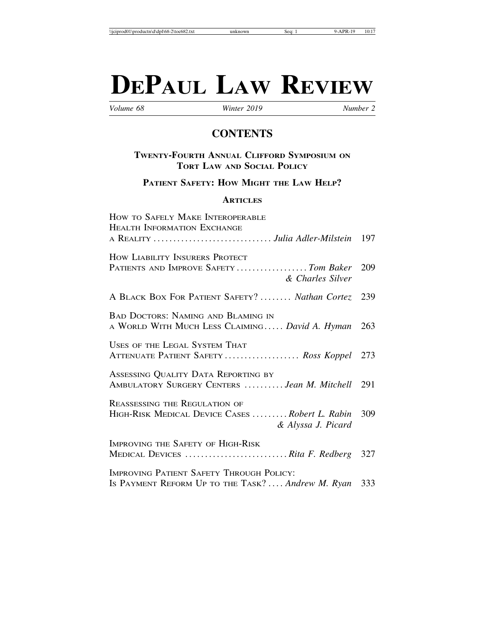# **DEPAUL LAW REVIEW**

*Volume 68 Winter 2019 Number 2*

## **CONTENTS**

#### **TWENTY-FOURTH ANNUAL CLIFFORD SYMPOSIUM ON TORT LAW AND SOCIAL POLICY**

**PATIENT SAFETY: HOW MIGHT THE LAW HELP?**

#### **ARTICLES**

| HOW TO SAFELY MAKE INTEROPERABLE                                                                             |     |
|--------------------------------------------------------------------------------------------------------------|-----|
| <b>HEALTH INFORMATION EXCHANGE</b>                                                                           |     |
|                                                                                                              |     |
| HOW LIABILITY INSURERS PROTECT<br>PATIENTS AND IMPROVE SAFETY  Tom Baker 209<br>& Charles Silver             |     |
| A BLACK BOX FOR PATIENT SAFETY?  Nathan Cortez 239                                                           |     |
| <b>BAD DOCTORS: NAMING AND BLAMING IN</b><br>A WORLD WITH MUCH LESS CLAIMING David A. Hyman                  | 263 |
|                                                                                                              |     |
| USES OF THE LEGAL SYSTEM THAT<br>ATTENUATE PATIENT SAFETY  Ross Koppel 273                                   |     |
| ASSESSING QUALITY DATA REPORTING BY<br>AMBULATORY SURGERY CENTERS <i>Jean M. Mitchell</i> 291                |     |
| <b>REASSESSING THE REGULATION OF</b><br>HIGH-RISK MEDICAL DEVICE CASES Robert L. Rabin<br>& Alyssa J. Picard | 309 |
| IMPROVING THE SAFETY OF HIGH-RISK<br>MEDICAL DEVICES Rita F. Redberg 327                                     |     |
| <b>IMPROVING PATIENT SAFETY THROUGH POLICY:</b><br>IS PAYMENT REFORM UP TO THE TASK? Andrew M. Ryan 333      |     |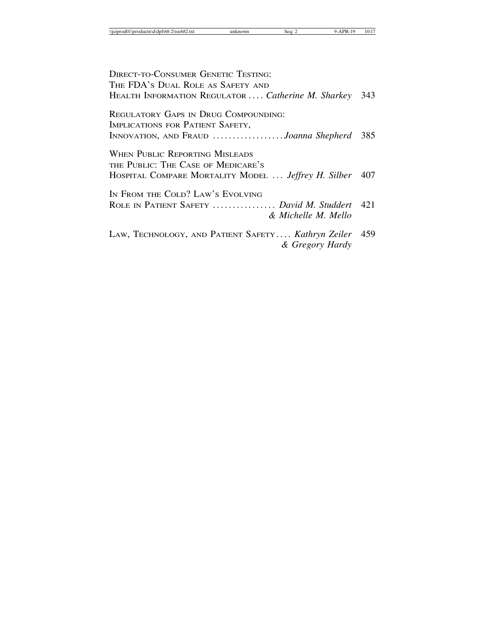| <b>DIRECT-TO-CONSUMER GENETIC TESTING:</b>              |     |
|---------------------------------------------------------|-----|
| THE FDA'S DUAL ROLE AS SAFETY AND                       |     |
| HEALTH INFORMATION REGULATOR  Catherine M. Sharkey      | 343 |
| REGULATORY GAPS IN DRUG COMPOUNDING:                    |     |
| IMPLICATIONS FOR PATIENT SAFETY,                        |     |
| INNOVATION, AND FRAUD <i>Joanna Shepherd</i> 385        |     |
| <b>WHEN PUBLIC REPORTING MISLEADS</b>                   |     |
| THE PUBLIC: THE CASE OF MEDICARE'S                      |     |
| HOSPITAL COMPARE MORTALITY MODEL  Jeffrey H. Silber 407 |     |
| IN FROM THE COLD? LAW'S EVOLVING                        |     |
| ROLE IN PATIENT SAFETY  David M. Studdert 421           |     |
| & Michelle M. Mello                                     |     |
| LAW, TECHNOLOGY, AND PATIENT SAFETY Kathryn Zeiler      | 459 |
| & Gregory Hardy                                         |     |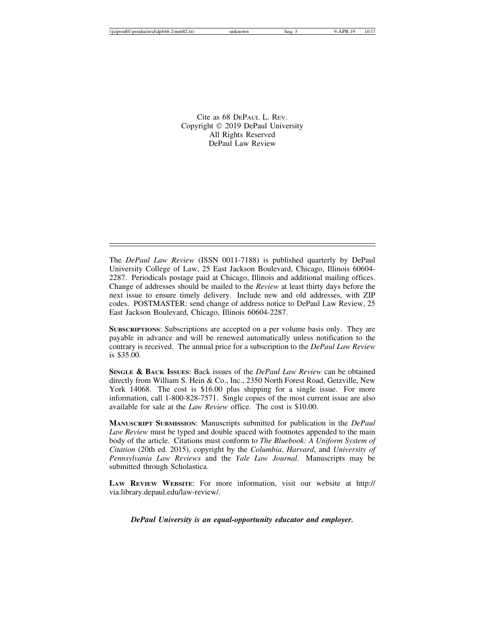Cite as 68 DEPAUL L. REV. Copyright © 2019 DePaul University All Rights Reserved DePaul Law Review

The *DePaul Law Review* (ISSN 0011-7188) is published quarterly by DePaul University College of Law, 25 East Jackson Boulevard, Chicago, Illinois 60604- 2287. Periodicals postage paid at Chicago, Illinois and additional mailing offices. Change of addresses should be mailed to the *Review* at least thirty days before the next issue to ensure timely delivery. Include new and old addresses, with ZIP codes. POSTMASTER: send change of address notice to DePaul Law Review, 25 East Jackson Boulevard, Chicago, Illinois 60604-2287.

**SUBSCRIPTIONS**: Subscriptions are accepted on a per volume basis only. They are payable in advance and will be renewed automatically unless notification to the contrary is received. The annual price for a subscription to the *DePaul Law Review* is \$35.00.

**SINGLE & BACK ISSUES**: Back issues of the *DePaul Law Review* can be obtained directly from William S. Hein & Co., Inc., 2350 North Forest Road, Getzville, New York 14068. The cost is \$16.00 plus shipping for a single issue. For more information, call 1-800-828-7571. Single copies of the most current issue are also available for sale at the *Law Review* office. The cost is \$10.00.

**MANUSCRIPT SUBMISSION**: Manuscripts submitted for publication in the *DePaul Law Review* must be typed and double spaced with footnotes appended to the main body of the article. Citations must conform to *The Bluebook: A Uniform System of Citation* (20th ed. 2015), copyright by the *Columbia*, *Harvard*, and *University of Pennsylvania Law Reviews* and the *Yale Law Journal*. Manuscripts may be submitted through Scholastica.

**LAW REVIEW WEBSITE**: For more information, visit our website at http:// via.library.depaul.edu/law-review/.

*DePaul University is an equal-opportunity educator and employer.*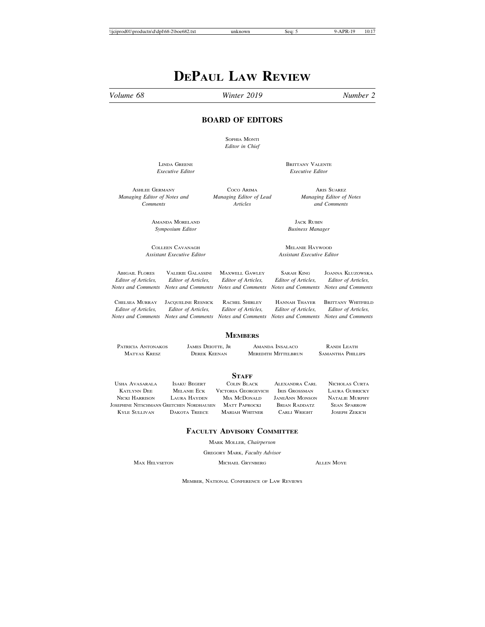## **DEPAUL LAW REVIEW**

#### *Volume 68 Winter 2019 Number 2*

#### **BOARD OF EDITORS**

SOPHIA MONTI *Editor in Chief*

LINDA GREENE BRITTANY VALENTE *Executive Editor Executive Editor*

*Managing Editor of Notes and Managing Editor of Lead Managing Editor of Notes*

ASHLEE GERMANY COCO ARIMA ARIS SUAREZ *Comments Articles and Comments*

AMANDA MORELAND JACK RUBIN JACK RUBIN Symposium Editor (1999) *Symposium Editor Business Manager*

COLLEEN CAVANAGH MELANIE HAYWOOD *Assistant Executive Editor Assistant Executive Editor*

ABIGAIL FLORES VALERIE GALASSINI MAXWELL GAWLEY SARAH KING JOANNA KLUZOWSKA *Editor of Articles, Editor of Articles, Editor of Articles, Editor of Articles, Editor of Articles, Notes and Comments Notes and Comments Notes and Comments Notes and Comments Notes and Comments*

CHELSEA MURRAY JACQUELINE RESNICK RACHEL SHIRLEY HANNAH THAYER BRITTANY WHITFIELD<br>
Editor of Articles. Editor of Articles. Editor of Articles. Editor of Articles. Editor of Articles.

*Editor of Articles, Editor of Articles, Editor of Articles, Editor of Articles, Editor of Articles, Notes and Comments Notes and Comments Notes and Comments Notes and Comments Notes and Comments*

#### **MEMBERS**

PATRICIA ANTONAKOS JAMES DEIOTTE, JR AMANDA INSALACO RANDI LEATH MATYAS KRESZ DEREK KEENAN MEREDITH MITTELBRUN SAMANTHA PHILLIPS

**STAFF**<br>COLIN BLACK USHA AVASARALA ISAKU BEGERT COLIN BLACK ALEXANDRA CARL NICHOLAS CURTA KATLYNN DEE MELANIE ECK VICTORIA GEORGEVICH IRIS GROSSMAN LAURA GUBRICKY NICKI HARRISON LAURA HAYDEN MIA MCDONALD JANEANN MONSON NATALIE MURPHY JOSEPHINE NITSCHMANN GRETCHEN NORDHAUSEN MATT PAPROCKI BRIAN RADDATZ SEAN SPARROW KYLE SULLIVAN DAKOTA TREECE MARIAH WHITNER

#### **FACULTY ADVISORY COMMITTEE**

MARK MOLLER, *Chairperson*

GREGORY MARK, *Faculty Advisor*

MAX HELVSETON MICHAEL GRYNBERG ALLEN MOYE

MEMBER, NATIONAL CONFERENCE OF LAW REVIEWS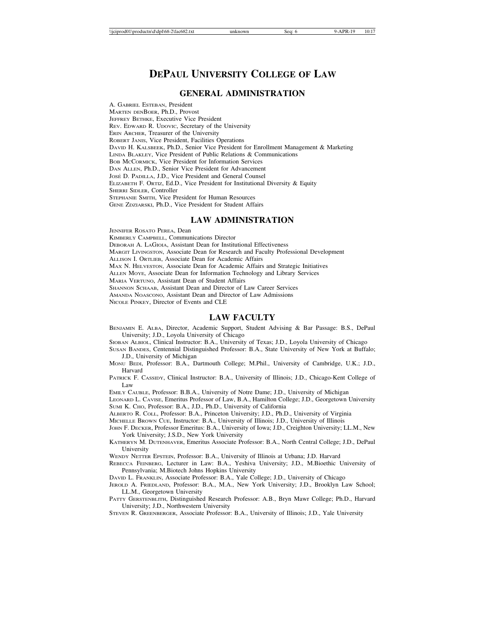### **DEPAUL UNIVERSITY COLLEGE OF LAW**

#### **GENERAL ADMINISTRATION**

A. GABRIEL ESTEBAN, President MARTEN DENBOER, Ph.D., Provost JEFFREY BETHKE, Executive Vice President REV. EDWARD R. UDOVIC, Secretary of the University ERIN ARCHER, Treasurer of the University ROBERT JANIS, Vice President, Facilities Operations DAVID H. KALSBEEK, Ph.D., Senior Vice President for Enrollment Management & Marketing LINDA BLAKLEY, Vice President of Public Relations & Communications BOB MCCORMICK, Vice President for Information Services DAN ALLEN, Ph.D., Senior Vice President for Advancement JOSÉ D. PADILLA, J.D., Vice President and General Counsel ELIZABETH F. ORTIZ, Ed.D., Vice President for Institutional Diversity & Equity SHERRI SIDLER, Controller STEPHANIE SMITH, Vice President for Human Resources GENE ZDZIARSKI, Ph.D., Vice President for Student Affairs

#### **LAW ADMINISTRATION**

JENNIFER ROSATO PEREA, Dean KIMBERLY CAMPBELL, Communications Director DEBORAH A. LAGIOIA, Assistant Dean for Institutional Effectiveness MARGIT LIVINGSTON, Associate Dean for Research and Faculty Professional Development ALLISON I. ORTLIEB, Associate Dean for Academic Affairs MAX N. HELVESTON, Associate Dean for Academic Affairs and Strategic Initiatives ALLEN MOYE, Associate Dean for Information Technology and Library Services MARIA VERTUNO, Assistant Dean of Student Affairs SHANNON SCHAAB, Assistant Dean and Director of Law Career Services AMANDA NOASCONO, Assistant Dean and Director of Law Admissions NICOLE PINKEY, Director of Events and CLE

#### **LAW FACULTY**

- BENJAMIN E. ALBA, Director, Academic Support, Student Advising & Bar Passage: B.S., DePaul University; J.D., Loyola University of Chicago
- SIOBAN ALBIOL, Clinical Instructor: B.A., University of Texas; J.D., Loyola University of Chicago
- SUSAN BANDES, Centennial Distinguished Professor: B.A., State University of New York at Buffalo; J.D., University of Michigan
- MONU BEDI, Professor: B.A., Dartmouth College; M.Phil., University of Cambridge, U.K.; J.D., Harvard
- PATRICK F. CASSIDY, Clinical Instructor: B.A., University of Illinois; J.D., Chicago-Kent College of Law

EMILY CAUBLE, Professor: B.B.A., University of Notre Dame; J.D., University of Michigan

LEONARD L. CAVISE, Emeritus Professor of Law, B.A., Hamilton College; J.D., Georgetown University SUMI K. CHO, Professor: B.A., J.D., Ph.D., University of California

ALBERTO R. COLL, Professor: B.A., Princeton University; J.D., Ph.D., University of Virginia

- MICHELLE BROWN CUE, Instructor: B.A., University of Illinois; J.D., University of Illinois
- JOHN F. DECKER, Professor Emeritus: B.A., University of Iowa; J.D., Creighton University; LL.M., New York University; J.S.D., New York University
- KATHERYN M. DUTENHAVER, Emeritus Associate Professor: B.A., North Central College; J.D., DePaul University
- WENDY NETTER EPSTEIN, Professor: B.A., University of Illinois at Urbana; J.D. Harvard
- REBECCA FEINBERG, Lecturer in Law: B.A., Yeshiva University; J.D., M.Bioethic University of Pennsylvania; M.Biotech Johns Hopkins University

DAVID L. FRANKLIN, Associate Professor: B.A., Yale College; J.D., University of Chicago

- JEROLD A. FRIEDLAND, Professor: B.A., M.A., New York University; J.D., Brooklyn Law School; LL.M., Georgetown University
- PATTY GERSTENBLITH, Distinguished Research Professor: A.B., Bryn Mawr College; Ph.D., Harvard University; J.D., Northwestern University

STEVEN R. GREENBERGER, Associate Professor: B.A., University of Illinois; J.D., Yale University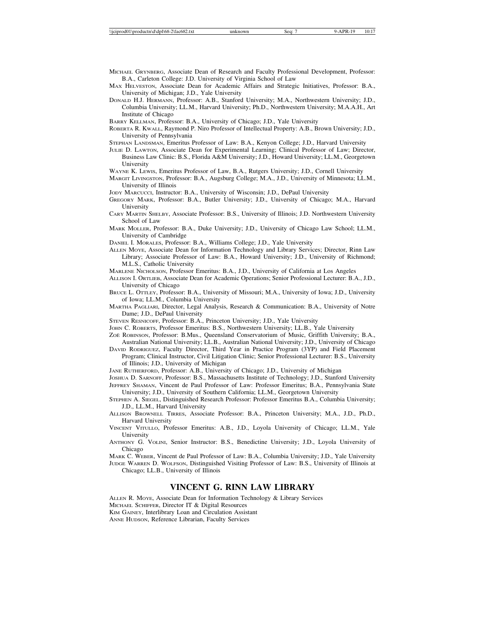- MICHAEL GRYNBERG, Associate Dean of Research and Faculty Professional Development, Professor: B.A., Carleton College: J.D. University of Virginia School of Law
- MAX HELVESTON, Associate Dean for Academic Affairs and Strategic Initiatives, Professor: B.A., University of Michigan; J.D., Yale University
- DONALD H.J. HERMANN, Professor: A.B., Stanford University; M.A., Northwestern University; J.D., Columbia University; LL.M., Harvard University; Ph.D., Northwestern University; M.A.A.H., Art Institute of Chicago

BARRY KELLMAN, Professor: B.A., University of Chicago; J.D., Yale University

ROBERTA R. KWALL, Raymond P. Niro Professor of Intellectual Property: A.B., Brown University; J.D., University of Pennsylvania

STEPHAN LANDSMAN, Emeritus Professor of Law: B.A., Kenyon College; J.D., Harvard University

- JULIE D. LAWTON, Associate Dean for Experimental Learning; Clinical Professor of Law; Director, Business Law Clinic: B.S., Florida A&M University; J.D., Howard University; LL.M., Georgetown University
- WAYNE K. LEWIS, Emeritus Professor of Law, B.A., Rutgers University; J.D., Cornell University
- MARGIT LIVINGSTON, Professor: B.A., Augsburg College; M.A., J.D., University of Minnesota; LL.M., University of Illinois
- JODY MARCUCCI, Instructor: B.A., University of Wisconsin; J.D., DePaul University
- GREGORY MARK, Professor: B.A., Butler University; J.D., University of Chicago; M.A., Harvard University
- CARY MARTIN SHELBY, Associate Professor: B.S., University of Illinois; J.D. Northwestern University School of Law
- MARK MOLLER, Professor: B.A., Duke University; J.D., University of Chicago Law School; LL.M., University of Cambridge
- DANIEL I. MORALES, Professor: B.A., Williams College; J.D., Yale University
- ALLEN MOYE, Associate Dean for Information Technology and Library Services; Director, Rinn Law Library; Associate Professor of Law: B.A., Howard University; J.D., University of Richmond; M.L.S., Catholic University
- MARLENE NICHOLSON, Professor Emeritus: B.A., J.D., University of California at Los Angeles
- ALLISON I. ORTLIEB, Associate Dean for Academic Operations; Senior Professional Lecturer: B.A., J.D., University of Chicago
- BRUCE L. OTTLEY, Professor: B.A., University of Missouri; M.A., University of Iowa; J.D., University of Iowa; LL.M., Columbia University
- MARTHA PAGLIARI, Director, Legal Analysis, Research & Communication: B.A., University of Notre Dame; J.D., DePaul University
- STEVEN RESNICOFF, Professor: B.A., Princeton University; J.D., Yale University
- JOHN C. ROBERTS, Professor Emeritus: B.S., Northwestern University; LL.B., Yale University
- ZOE¨ ROBINSON, Professor: B.Mus., Queensland Conservatorium of Music, Griffith University; B.A., Australian National University; LL.B., Australian National University; J.D., University of Chicago
- DAVID RODRIGUEZ, Faculty Director, Third Year in Practice Program (3YP) and Field Placement Program; Clinical Instructor, Civil Litigation Clinic; Senior Professional Lecturer: B.S., University of Illinois; J.D., University of Michigan
- JANE RUTHERFORD, Professor: A.B., University of Chicago; J.D., University of Michigan

JOSHUA D. SARNOFF, Professor: B.S., Massachusetts Institute of Technology; J.D., Stanford University JEFFREY SHAMAN, Vincent de Paul Professor of Law: Professor Emeritus; B.A., Pennsylvania State University; J.D., University of Southern California; LL.M., Georgetown University

- STEPHEN A. SIEGEL, Distinguished Research Professor: Professor Emeritus B.A., Columbia University; J.D., LL.M., Harvard University
- ALLISON BROWNELL TIRRES, Associate Professor: B.A., Princeton University; M.A., J.D., Ph.D., Harvard University
- VINCENT VITULLO, Professor Emeritus: A.B., J.D., Loyola University of Chicago; LL.M., Yale University
- ANTHONY G. VOLINI, Senior Instructor: B.S., Benedictine University; J.D., Loyola University of Chicago

MARK C. WEBER, Vincent de Paul Professor of Law: B.A., Columbia University; J.D., Yale University JUDGE WARREN D. WOLFSON, Distinguished Visiting Professor of Law: B.S., University of Illinois at

Chicago; LL.B., University of Illinois

#### **VINCENT G. RINN LAW LIBRARY**

ALLEN R. MOYE, Associate Dean for Information Technology & Library Services

MICHAEL SCHIFFER, Director IT & Digital Resources

KIM GAINEY, Interlibrary Loan and Circulation Assistant

ANNE HUDSON, Reference Librarian, Faculty Services